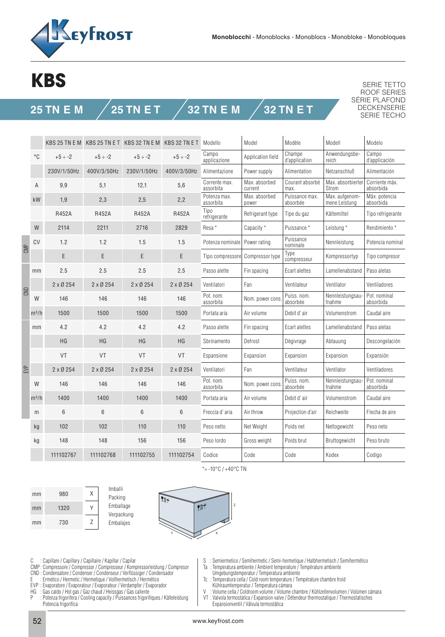

## **KBS**

## **25 TN E M 25 TN E T 32 TN E M 32 TN E T**

SERIE TETTO ROOF SERIES SÉRIE PLAFOND DECKENSERIE SERIE TECHO

|      |              |                 |                 | KBS 25 TN E M KBS 25 TN E T KBS 32 TN E M KBS 32 TN E T |                 | Modello                                                   | Model                        | Modèle                               | Modell                          | Modelo                      |  |
|------|--------------|-----------------|-----------------|---------------------------------------------------------|-----------------|-----------------------------------------------------------|------------------------------|--------------------------------------|---------------------------------|-----------------------------|--|
|      | $^{\circ}$ C | $+5 \div -2$    | $+5 \div -2$    | $+5 \div -2$                                            | $+5 \div -2$    | Campo<br>applicazione                                     | Application field            | Champe<br>d'application              | Anwendungsbe-<br>reich          | Campo<br>d'applicación      |  |
|      |              | 230V/1/50Hz     | 400V/3/50Hz     | 230V/1/50Hz                                             | 400V/3/50Hz     | Alimentazione                                             | Power supply                 | Alimentation                         | Netzanschluß                    | Alimentación                |  |
|      | Α            | 9,9             | 5,1             | 12,1                                                    | 5,6             | Corrente max.<br>assorbita                                | Max. absorbed<br>current     | Courant absorbé<br>max.              | Max. absorbierter<br>Strom      | Corriente máx.<br>absorbida |  |
|      | kW           | 1,9             | 2,3             | 2,5                                                     | 2,2             | Potenza max.<br>assorbita                                 | Max. absorbed<br>power       | Puissance max.<br>absorbée           | Max. aufgenom-<br>mene Leistung | Máx. potencia<br>absorbida  |  |
|      |              | R452A           | <b>R452A</b>    | <b>R452A</b>                                            | <b>R452A</b>    | Tipo<br>refrigerante                                      | Refrigerant type             | Tipe du gaz                          | Kältemittel                     | Tipo refrigerante           |  |
|      | W            | 2114            | 2211            | 2716                                                    | 2829            | Resa <sup>*</sup>                                         | Capacity *                   | Puissance *                          | Leistung *                      | Rendimiento *               |  |
| CMP  | CV           | 1.2             | 1.2             | 1.5                                                     | 1.5             | Puissance<br>Potenza nominale<br>Power rating<br>nominale |                              | Nennleistung                         | Potencia nominal                |                             |  |
|      |              | E               | E               | E                                                       | E               | Tipo compressore                                          | Compressor type              | Type<br>Kompressortyp<br>compresseur |                                 | Tipo compresor              |  |
| CNID | mm           | 2.5             | 2.5             | 2.5                                                     | 2.5             | Passo alette                                              | Ecart alettes<br>Fin spacing |                                      | Lamellenabstand                 | Paso aletas                 |  |
|      |              | $2 \times 0254$ | $2 \times 0254$ | $2 \times 0254$                                         | $2 \times 0254$ | Ventilatori                                               | Fan                          | Ventilateur                          | Ventilator                      | Ventiladores                |  |
|      | W            | 146             | 146             | 146                                                     | 146             | Pot. nom.<br>assorbita                                    | Nom. power cons              | Puiss, nom.<br>absorbée              | Nennleistungsau<br>fnahme       | Pot. nominal<br>absorbida   |  |
|      | $m^3/h$      | 1500            | 1500            | 1500                                                    | 1500            | Portata aria                                              | Air volume                   | Debit d'air                          | Volumenstrom                    | Caudal aire                 |  |
| EVP  | mm           | 4.2             | 4.2             | 4.2                                                     | 4.2             | Passo alette<br>Fin spacing                               |                              | Ecart alettes                        | Lamellenabstand                 | Paso aletas                 |  |
|      |              | HG              | HG              | <b>HG</b>                                               | HG              | Sbrinamento                                               | Defrost                      | Dègivrage                            | Abtauung                        | Descongelación              |  |
|      |              | VT              | <b>VT</b>       | VT                                                      | VT              | Espansione                                                | Expansion                    | Expansion                            | Expansion                       | Expansión                   |  |
|      |              | $2 \times 0254$ | $2 \times 0254$ | $2 \times 0254$                                         | $2 \times 0254$ | Ventilatori                                               | Fan                          | Ventilateur                          | Ventilator                      | Ventiladores                |  |
|      | W            | 146             | 146             | 146                                                     | 146             | Pot. nom.<br>assorbita                                    | Nom. power cons              | Puiss, nom.<br>absorbée              | Nennleistungsau-<br>fnahme      | Pot. nominal<br>absorbida   |  |
|      | $m^3/h$      | 1400            | 1400            | 1400                                                    | 1400            | Portata aria                                              | Air volume                   | Debit d'air                          | Volumenstrom                    | Caudal aire                 |  |
|      | m            | 6               | 6               | $6\phantom{1}$                                          | 6               | Freccia d'aria                                            | Air throw                    | Projection d'air                     | Reichweite                      | Flecha de aire              |  |
|      | kg           | 102             | 102             | 110                                                     | 110             | Peso netto                                                | Net Weight                   | Poids net                            | Nettogewicht                    | Peso neto                   |  |
|      | kg           | 148             | 148             | 156                                                     | 156             | Peso lordo                                                | Gross weight                 | Poids brut                           | Bruttogewicht                   | Peso bruto                  |  |
|      |              | 111102767       | 111102768       | 111102755                                               | 111102754       | Codice                                                    | Code                         | Code                                 | Kodex                           | Codigo                      |  |







 $* = -10\degree C$  / +40 $\degree C$  TN

C : Capillare / Capillary / Capillaire / Kapillar / Capilar

- CMP : Compressore / Compressor / Compresseur / Kompressorleistung / Compresor
- CND : Condensatore / Condenser / Condenseur / Verflüssiger / Condensador
- E : Ermetico / Hermetic / Hermetique / Vollhermetisch / Hermético
- EVP : Evaporatore / Evaporatour / Evaporateur / Verdampfer / Evaporador
- HG : Gas caldo / Hot gas / Gaz chaud / Heissgas / Gas caliente
- : Potenza frigorifera / Cooling capacity / Puissances frigorifiques / Kälteleistung Potencia frigorífica
- S : Semiermetico / Semihermetic / Semi-hermetique / Halbhermetisch / Semihermético
- Ta : Temperatura ambiente / Ambient temperature / Température ambiente
- Umgebungstemperatur / Temperatura ambiente
- Tc : Temperatura cella / Cold room temperature / Température chambre froid Kühlraumtemperatur / Temperatura cámara<br>V · Volume cella / Coldroom volume / Volume (
- Volume cella / Coldroom volume / Volume chambre / Kühlzellenvolumen / Volúmen cámara VT : Valvola termostatica / Expansion valve / Détendeur thermostatique / Thermostatisches
- Expansionventil / Válvula termostática